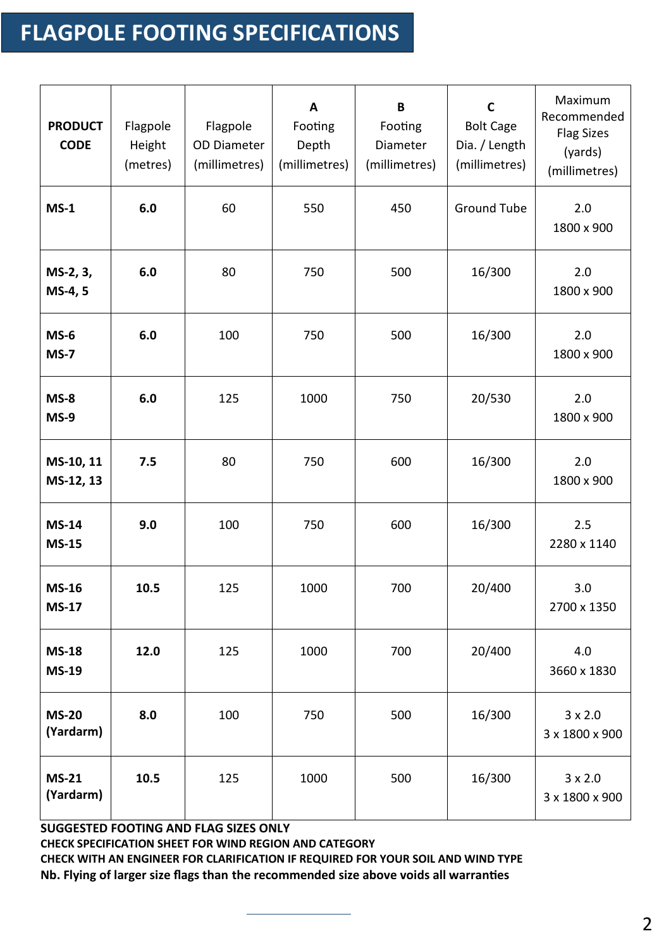## **FLAGPOLE FOOTING SPECIFICATIONS**

| <b>PRODUCT</b><br><b>CODE</b> | Flagpole<br>Height<br>(metres) | Flagpole<br><b>OD Diameter</b><br>(millimetres) | A<br>Footing<br>Depth<br>(millimetres) | B<br>Footing<br>Diameter<br>(millimetres) | $\mathsf{C}$<br><b>Bolt Cage</b><br>Dia. / Length<br>(millimetres) | Maximum<br>Recommended<br><b>Flag Sizes</b><br>(yards)<br>(millimetres) |
|-------------------------------|--------------------------------|-------------------------------------------------|----------------------------------------|-------------------------------------------|--------------------------------------------------------------------|-------------------------------------------------------------------------|
| $MS-1$                        | 6.0                            | 60                                              | 550                                    | 450                                       | <b>Ground Tube</b>                                                 | 2.0<br>1800 x 900                                                       |
| MS-2, 3,<br>MS-4, 5           | 6.0                            | 80                                              | 750                                    | 500                                       | 16/300                                                             | 2.0<br>1800 x 900                                                       |
| $MS-6$<br>$MS-7$              | 6.0                            | 100                                             | 750                                    | 500                                       | 16/300                                                             | 2.0<br>1800 x 900                                                       |
| $MS-8$<br>$MS-9$              | 6.0                            | 125                                             | 1000                                   | 750                                       | 20/530                                                             | 2.0<br>1800 x 900                                                       |
| MS-10, 11<br>MS-12, 13        | 7.5                            | 80                                              | 750                                    | 600                                       | 16/300                                                             | 2.0<br>1800 x 900                                                       |
| <b>MS-14</b><br><b>MS-15</b>  | 9.0                            | 100                                             | 750                                    | 600                                       | 16/300                                                             | 2.5<br>2280 x 1140                                                      |
| <b>MS-16</b><br><b>MS-17</b>  | 10.5                           | 125                                             | 1000                                   | 700                                       | 20/400                                                             | 3.0<br>2700 x 1350                                                      |
| <b>MS-18</b><br><b>MS-19</b>  | 12.0                           | 125                                             | 1000                                   | 700                                       | 20/400                                                             | 4.0<br>3660 x 1830                                                      |
| <b>MS-20</b><br>(Yardarm)     | 8.0                            | 100                                             | 750                                    | 500                                       | 16/300                                                             | $3 \times 2.0$<br>3 x 1800 x 900                                        |
| <b>MS-21</b><br>(Yardarm)     | 10.5                           | 125                                             | 1000                                   | 500                                       | 16/300                                                             | $3 \times 2.0$<br>3 x 1800 x 900                                        |

**SUGGESTED FOOTING AND FLAG SIZES ONLY CHECK SPECIFICATION SHEET FOR WIND REGION AND CATEGORY CHECK WITH AN ENGINEER FOR CLARIFICATION IF REQUIRED FOR YOUR SOIL AND WIND TYPE Nb. Flying of larger size flags than the recommended size above voids all warranties**